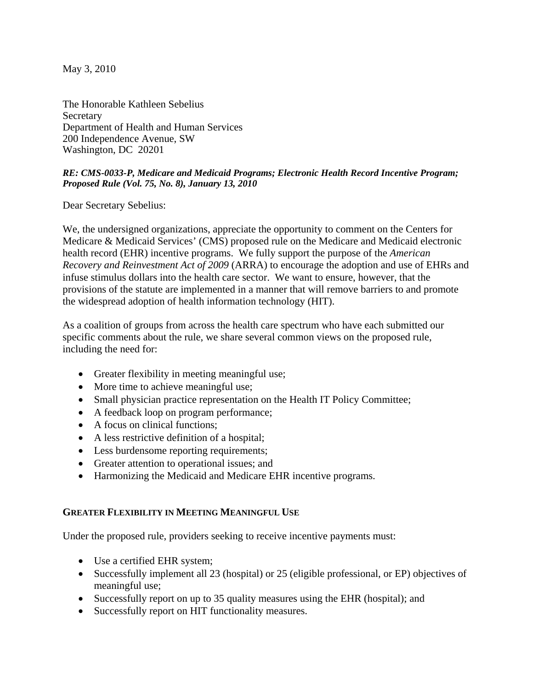May 3, 2010

The Honorable Kathleen Sebelius Secretary Department of Health and Human Services 200 Independence Avenue, SW Washington, DC 20201

### *RE: CMS-0033-P, Medicare and Medicaid Programs; Electronic Health Record Incentive Program; Proposed Rule (Vol. 75, No. 8), January 13, 2010*

Dear Secretary Sebelius:

We, the undersigned organizations, appreciate the opportunity to comment on the Centers for Medicare & Medicaid Services' (CMS) proposed rule on the Medicare and Medicaid electronic health record (EHR) incentive programs. We fully support the purpose of the *American Recovery and Reinvestment Act of 2009* (ARRA) to encourage the adoption and use of EHRs and infuse stimulus dollars into the health care sector. We want to ensure, however, that the provisions of the statute are implemented in a manner that will remove barriers to and promote the widespread adoption of health information technology (HIT).

As a coalition of groups from across the health care spectrum who have each submitted our specific comments about the rule, we share several common views on the proposed rule, including the need for:

- Greater flexibility in meeting meaningful use;
- More time to achieve meaningful use;
- Small physician practice representation on the Health IT Policy Committee;
- A feedback loop on program performance;
- A focus on clinical functions;
- A less restrictive definition of a hospital;
- Less burdensome reporting requirements;
- Greater attention to operational issues; and
- Harmonizing the Medicaid and Medicare EHR incentive programs.

# **GREATER FLEXIBILITY IN MEETING MEANINGFUL USE**

Under the proposed rule, providers seeking to receive incentive payments must:

- Use a certified EHR system;
- Successfully implement all 23 (hospital) or 25 (eligible professional, or EP) objectives of meaningful use;
- Successfully report on up to 35 quality measures using the EHR (hospital); and
- Successfully report on HIT functionality measures.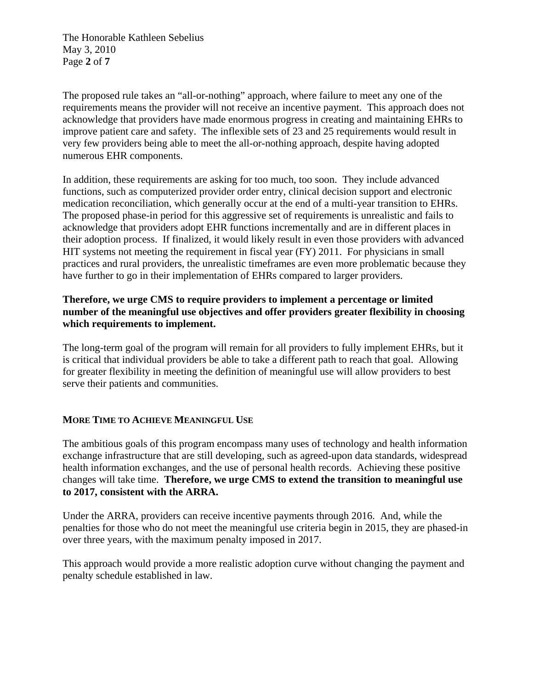The Honorable Kathleen Sebelius May 3, 2010 Page **2** of **7**

The proposed rule takes an "all-or-nothing" approach, where failure to meet any one of the requirements means the provider will not receive an incentive payment. This approach does not acknowledge that providers have made enormous progress in creating and maintaining EHRs to improve patient care and safety. The inflexible sets of 23 and 25 requirements would result in very few providers being able to meet the all-or-nothing approach, despite having adopted numerous EHR components.

In addition, these requirements are asking for too much, too soon. They include advanced functions, such as computerized provider order entry, clinical decision support and electronic medication reconciliation, which generally occur at the end of a multi-year transition to EHRs. The proposed phase-in period for this aggressive set of requirements is unrealistic and fails to acknowledge that providers adopt EHR functions incrementally and are in different places in their adoption process. If finalized, it would likely result in even those providers with advanced HIT systems not meeting the requirement in fiscal year (FY) 2011. For physicians in small practices and rural providers, the unrealistic timeframes are even more problematic because they have further to go in their implementation of EHRs compared to larger providers.

## **Therefore, we urge CMS to require providers to implement a percentage or limited number of the meaningful use objectives and offer providers greater flexibility in choosing which requirements to implement.**

The long-term goal of the program will remain for all providers to fully implement EHRs, but it is critical that individual providers be able to take a different path to reach that goal. Allowing for greater flexibility in meeting the definition of meaningful use will allow providers to best serve their patients and communities.

### **MORE TIME TO ACHIEVE MEANINGFUL USE**

The ambitious goals of this program encompass many uses of technology and health information exchange infrastructure that are still developing, such as agreed-upon data standards, widespread health information exchanges, and the use of personal health records. Achieving these positive changes will take time. **Therefore, we urge CMS to extend the transition to meaningful use to 2017, consistent with the ARRA.** 

Under the ARRA, providers can receive incentive payments through 2016. And, while the penalties for those who do not meet the meaningful use criteria begin in 2015, they are phased-in over three years, with the maximum penalty imposed in 2017.

This approach would provide a more realistic adoption curve without changing the payment and penalty schedule established in law.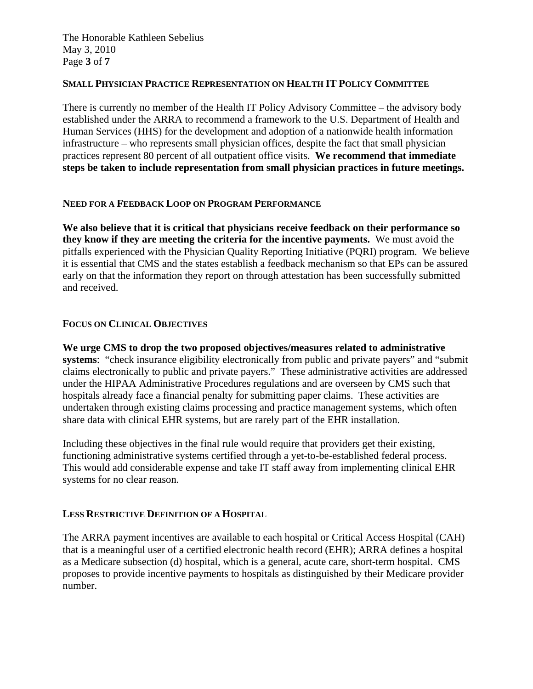The Honorable Kathleen Sebelius May 3, 2010 Page **3** of **7**

#### **SMALL PHYSICIAN PRACTICE REPRESENTATION ON HEALTH IT POLICY COMMITTEE**

There is currently no member of the Health IT Policy Advisory Committee – the advisory body established under the ARRA to recommend a framework to the U.S. Department of Health and Human Services (HHS) for the development and adoption of a nationwide health information infrastructure – who represents small physician offices, despite the fact that small physician practices represent 80 percent of all outpatient office visits. **We recommend that immediate steps be taken to include representation from small physician practices in future meetings.** 

### **NEED FOR A FEEDBACK LOOP ON PROGRAM PERFORMANCE**

**We also believe that it is critical that physicians receive feedback on their performance so they know if they are meeting the criteria for the incentive payments.** We must avoid the pitfalls experienced with the Physician Quality Reporting Initiative (PQRI) program. We believe it is essential that CMS and the states establish a feedback mechanism so that EPs can be assured early on that the information they report on through attestation has been successfully submitted and received.

#### **FOCUS ON CLINICAL OBJECTIVES**

**We urge CMS to drop the two proposed objectives/measures related to administrative systems**: "check insurance eligibility electronically from public and private payers" and "submit claims electronically to public and private payers." These administrative activities are addressed under the HIPAA Administrative Procedures regulations and are overseen by CMS such that hospitals already face a financial penalty for submitting paper claims. These activities are undertaken through existing claims processing and practice management systems, which often share data with clinical EHR systems, but are rarely part of the EHR installation.

Including these objectives in the final rule would require that providers get their existing, functioning administrative systems certified through a yet-to-be-established federal process. This would add considerable expense and take IT staff away from implementing clinical EHR systems for no clear reason.

### **LESS RESTRICTIVE DEFINITION OF A HOSPITAL**

The ARRA payment incentives are available to each hospital or Critical Access Hospital (CAH) that is a meaningful user of a certified electronic health record (EHR); ARRA defines a hospital as a Medicare subsection (d) hospital, which is a general, acute care, short-term hospital. CMS proposes to provide incentive payments to hospitals as distinguished by their Medicare provider number.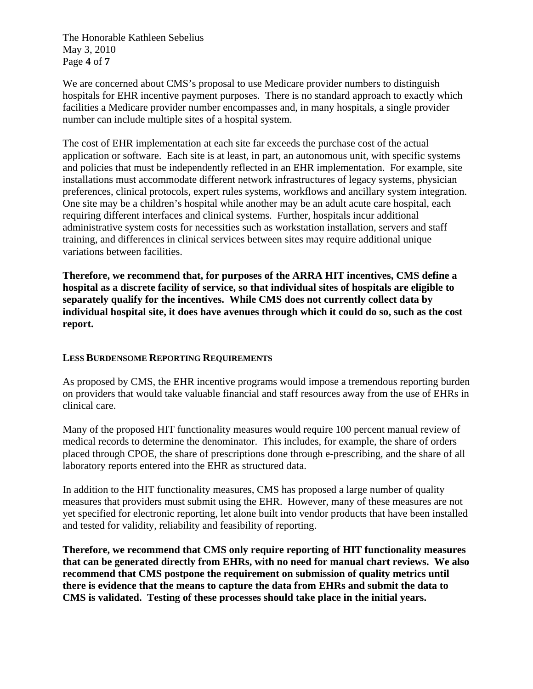The Honorable Kathleen Sebelius May 3, 2010 Page **4** of **7**

We are concerned about CMS's proposal to use Medicare provider numbers to distinguish hospitals for EHR incentive payment purposes. There is no standard approach to exactly which facilities a Medicare provider number encompasses and, in many hospitals, a single provider number can include multiple sites of a hospital system.

The cost of EHR implementation at each site far exceeds the purchase cost of the actual application or software. Each site is at least, in part, an autonomous unit, with specific systems and policies that must be independently reflected in an EHR implementation. For example, site installations must accommodate different network infrastructures of legacy systems, physician preferences, clinical protocols, expert rules systems, workflows and ancillary system integration. One site may be a children's hospital while another may be an adult acute care hospital, each requiring different interfaces and clinical systems. Further, hospitals incur additional administrative system costs for necessities such as workstation installation, servers and staff training, and differences in clinical services between sites may require additional unique variations between facilities.

**Therefore, we recommend that, for purposes of the ARRA HIT incentives, CMS define a hospital as a discrete facility of service, so that individual sites of hospitals are eligible to separately qualify for the incentives. While CMS does not currently collect data by individual hospital site, it does have avenues through which it could do so, such as the cost report.** 

### **LESS BURDENSOME REPORTING REQUIREMENTS**

As proposed by CMS, the EHR incentive programs would impose a tremendous reporting burden on providers that would take valuable financial and staff resources away from the use of EHRs in clinical care.

Many of the proposed HIT functionality measures would require 100 percent manual review of medical records to determine the denominator. This includes, for example, the share of orders placed through CPOE, the share of prescriptions done through e-prescribing, and the share of all laboratory reports entered into the EHR as structured data.

In addition to the HIT functionality measures, CMS has proposed a large number of quality measures that providers must submit using the EHR. However, many of these measures are not yet specified for electronic reporting, let alone built into vendor products that have been installed and tested for validity, reliability and feasibility of reporting.

**Therefore, we recommend that CMS only require reporting of HIT functionality measures that can be generated directly from EHRs, with no need for manual chart reviews. We also recommend that CMS postpone the requirement on submission of quality metrics until there is evidence that the means to capture the data from EHRs and submit the data to CMS is validated. Testing of these processes should take place in the initial years.**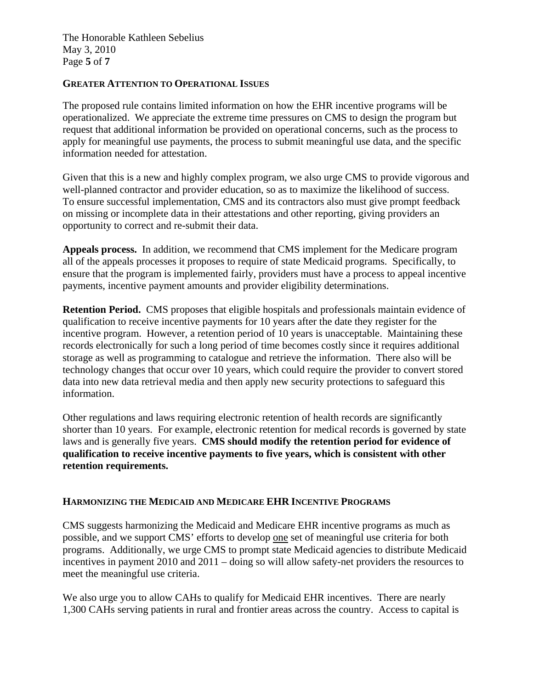The Honorable Kathleen Sebelius May 3, 2010 Page **5** of **7**

### **GREATER ATTENTION TO OPERATIONAL ISSUES**

The proposed rule contains limited information on how the EHR incentive programs will be operationalized. We appreciate the extreme time pressures on CMS to design the program but request that additional information be provided on operational concerns, such as the process to apply for meaningful use payments, the process to submit meaningful use data, and the specific information needed for attestation.

Given that this is a new and highly complex program, we also urge CMS to provide vigorous and well-planned contractor and provider education, so as to maximize the likelihood of success. To ensure successful implementation, CMS and its contractors also must give prompt feedback on missing or incomplete data in their attestations and other reporting, giving providers an opportunity to correct and re-submit their data.

**Appeals process.** In addition, we recommend that CMS implement for the Medicare program all of the appeals processes it proposes to require of state Medicaid programs. Specifically, to ensure that the program is implemented fairly, providers must have a process to appeal incentive payments, incentive payment amounts and provider eligibility determinations.

**Retention Period.** CMS proposes that eligible hospitals and professionals maintain evidence of qualification to receive incentive payments for 10 years after the date they register for the incentive program. However, a retention period of 10 years is unacceptable. Maintaining these records electronically for such a long period of time becomes costly since it requires additional storage as well as programming to catalogue and retrieve the information. There also will be technology changes that occur over 10 years, which could require the provider to convert stored data into new data retrieval media and then apply new security protections to safeguard this information.

Other regulations and laws requiring electronic retention of health records are significantly shorter than 10 years. For example, electronic retention for medical records is governed by state laws and is generally five years. **CMS should modify the retention period for evidence of qualification to receive incentive payments to five years, which is consistent with other retention requirements.** 

### **HARMONIZING THE MEDICAID AND MEDICARE EHR INCENTIVE PROGRAMS**

CMS suggests harmonizing the Medicaid and Medicare EHR incentive programs as much as possible, and we support CMS' efforts to develop one set of meaningful use criteria for both programs. Additionally, we urge CMS to prompt state Medicaid agencies to distribute Medicaid incentives in payment 2010 and 2011 – doing so will allow safety-net providers the resources to meet the meaningful use criteria.

We also urge you to allow CAHs to qualify for Medicaid EHR incentives. There are nearly 1,300 CAHs serving patients in rural and frontier areas across the country. Access to capital is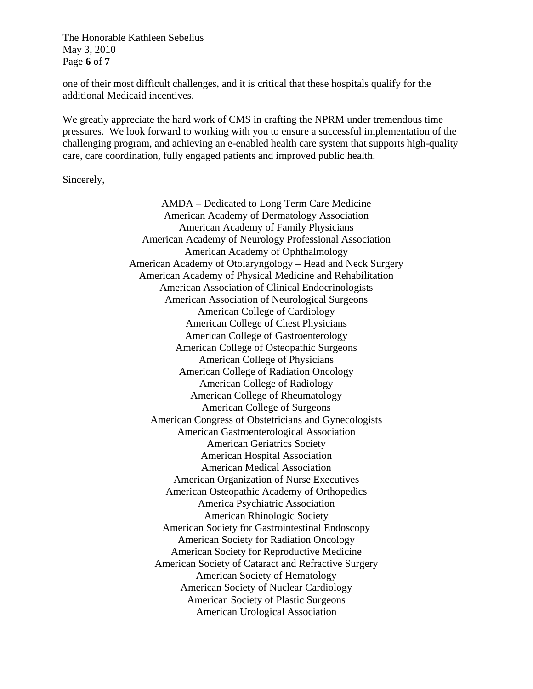The Honorable Kathleen Sebelius May 3, 2010 Page **6** of **7**

one of their most difficult challenges, and it is critical that these hospitals qualify for the additional Medicaid incentives.

We greatly appreciate the hard work of CMS in crafting the NPRM under tremendous time pressures. We look forward to working with you to ensure a successful implementation of the challenging program, and achieving an e-enabled health care system that supports high-quality care, care coordination, fully engaged patients and improved public health.

Sincerely,

AMDA – Dedicated to Long Term Care Medicine American Academy of Dermatology Association American Academy of Family Physicians American Academy of Neurology Professional Association American Academy of Ophthalmology American Academy of Otolaryngology – Head and Neck Surgery American Academy of Physical Medicine and Rehabilitation American Association of Clinical Endocrinologists American Association of Neurological Surgeons American College of Cardiology American College of Chest Physicians American College of Gastroenterology American College of Osteopathic Surgeons American College of Physicians American College of Radiation Oncology American College of Radiology American College of Rheumatology American College of Surgeons American Congress of Obstetricians and Gynecologists American Gastroenterological Association American Geriatrics Society American Hospital Association American Medical Association American Organization of Nurse Executives American Osteopathic Academy of Orthopedics America Psychiatric Association American Rhinologic Society American Society for Gastrointestinal Endoscopy American Society for Radiation Oncology American Society for Reproductive Medicine American Society of Cataract and Refractive Surgery American Society of Hematology American Society of Nuclear Cardiology American Society of Plastic Surgeons American Urological Association